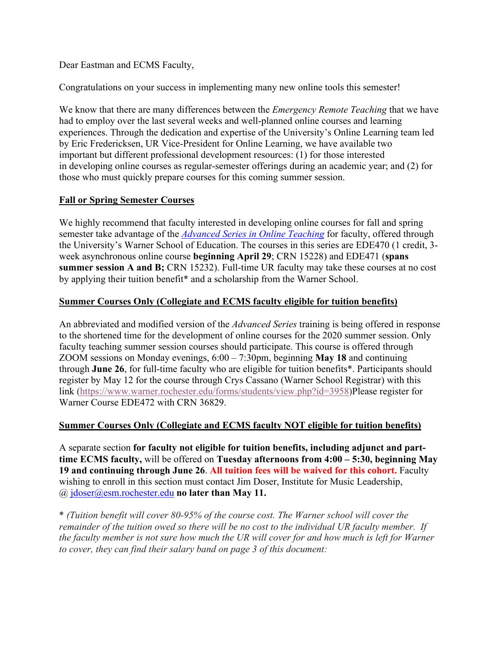Dear Eastman and ECMS Faculty,

Congratulations on your success in implementing many new online tools this semester!

We know that there are many differences between the *Emergency Remote Teaching* that we have had to employ over the last several weeks and well-planned online courses and learning experiences. Through the dedication and expertise of the University's Online Learning team led by Eric Fredericksen, UR Vice-President for Online Learning, we have available two important but different professional development resources: (1) for those interested in developing online courses as regular-semester offerings during an academic year; and (2) for those who must quickly prepare courses for this coming summer session.

## **Fall or Spring Semester Courses**

We highly recommend that faculty interested in developing online courses for fall and spring semester take advantage of the *Advanced Series in Online Teaching* for faculty, offered through the University's Warner School of Education. The courses in this series are EDE470 (1 credit, 3 week asynchronous online course **beginning April 29**; CRN 15228) and EDE471 (**spans summer session A and B;** CRN 15232). Full-time UR faculty may take these courses at no cost by applying their tuition benefit\* and a scholarship from the Warner School.

## **Summer Courses Only (Collegiate and ECMS faculty eligible for tuition benefits)**

An abbreviated and modified version of the *Advanced Series* training is being offered in response to the shortened time for the development of online courses for the 2020 summer session. Only faculty teaching summer session courses should participate. This course is offered through ZOOM sessions on Monday evenings, 6:00 – 7:30pm, beginning **May 18** and continuing through **June 26**, for full-time faculty who are eligible for tuition benefits\*. Participants should register by May 12 for the course through Crys Cassano (Warner School Registrar) with this link (https://www.warner.rochester.edu/forms/students/view.php?id=3958)Please register for Warner Course EDE472 with CRN 36829.

## **Summer Courses Only (Collegiate and ECMS faculty NOT eligible for tuition benefits)**

A separate section **for faculty not eligible for tuition benefits, including adjunct and parttime ECMS faculty,** will be offered on **Tuesday afternoons from 4:00 – 5:30, beginning May 19 and continuing through June 26**. **All tuition fees will be waived for this cohort.** Faculty wishing to enroll in this section must contact Jim Doser, Institute for Music Leadership, @ jdoser@esm.rochester.edu **no later than May 11.**

\* *(Tuition benefit will cover 80-95% of the course cost. The Warner school will cover the remainder of the tuition owed so there will be no cost to the individual UR faculty member. If* the faculty member is not sure how much the UR will cover for and how much is left for Warner *to cover, they can find their salary band on page 3 of this document:*